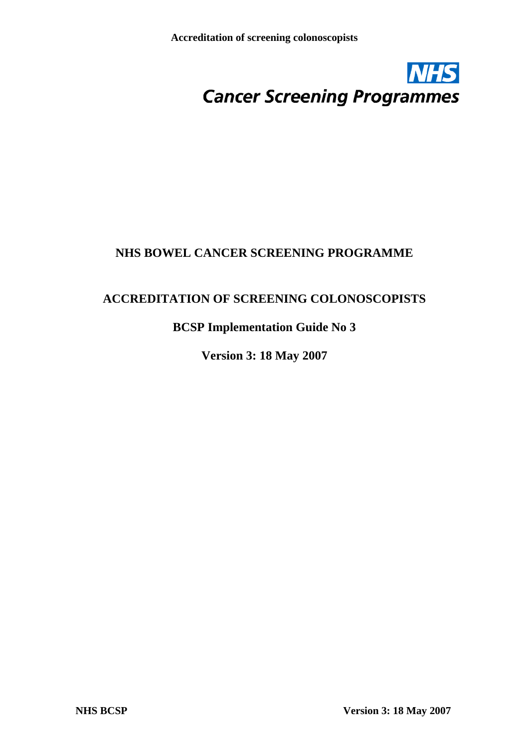

# **NHS BOWEL CANCER SCREENING PROGRAMME**

# **ACCREDITATION OF SCREENING COLONOSCOPISTS**

# **BCSP Implementation Guide No 3**

**Version 3: 18 May 2007**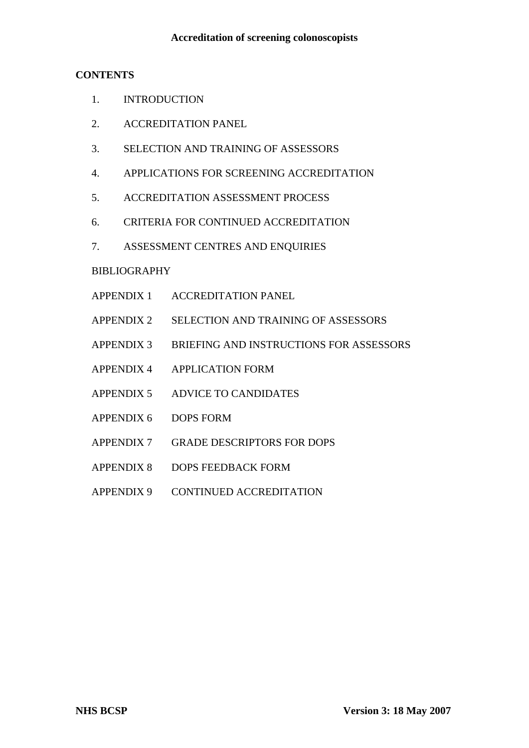## **CONTENTS**

- 1. INTRODUCTION
- 2. ACCREDITATION PANEL
- 3. SELECTION AND TRAINING OF ASSESSORS
- 4. APPLICATIONS FOR SCREENING ACCREDITATION
- 5. ACCREDITATION ASSESSMENT PROCESS
- 6. CRITERIA FOR CONTINUED ACCREDITATION
- 7. ASSESSMENT CENTRES AND ENQUIRIES

# BIBLIOGRAPHY

- APPENDIX 1 ACCREDITATION PANEL
- APPENDIX 2 SELECTION AND TRAINING OF ASSESSORS
- APPENDIX 3 BRIEFING AND INSTRUCTIONS FOR ASSESSORS
- APPENDIX 4 APPLICATION FORM
- APPENDIX 5 ADVICE TO CANDIDATES
- APPENDIX 6 DOPS FORM
- APPENDIX 7 GRADE DESCRIPTORS FOR DOPS
- APPENDIX 8 DOPS FEEDBACK FORM
- APPENDIX 9 CONTINUED ACCREDITATION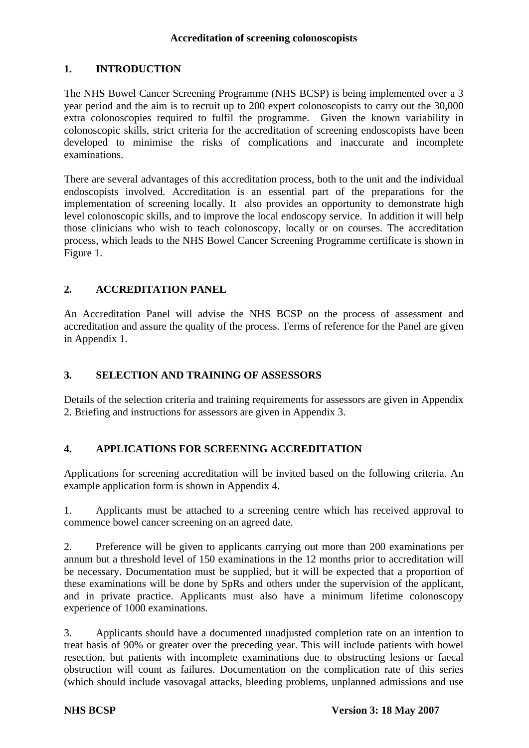## **1. INTRODUCTION**

The NHS Bowel Cancer Screening Programme (NHS BCSP) is being implemented over a 3 year period and the aim is to recruit up to 200 expert colonoscopists to carry out the 30,000 extra colonoscopies required to fulfil the programme. Given the known variability in colonoscopic skills, strict criteria for the accreditation of screening endoscopists have been developed to minimise the risks of complications and inaccurate and incomplete examinations.

There are several advantages of this accreditation process, both to the unit and the individual endoscopists involved. Accreditation is an essential part of the preparations for the implementation of screening locally. It also provides an opportunity to demonstrate high level colonoscopic skills, and to improve the local endoscopy service. In addition it will help those clinicians who wish to teach colonoscopy, locally or on courses. The accreditation process, which leads to the NHS Bowel Cancer Screening Programme certificate is shown in Figure 1.

# **2. ACCREDITATION PANEL**

An Accreditation Panel will advise the NHS BCSP on the process of assessment and accreditation and assure the quality of the process. Terms of reference for the Panel are given in Appendix 1.

## **3. SELECTION AND TRAINING OF ASSESSORS**

Details of the selection criteria and training requirements for assessors are given in Appendix 2. Briefing and instructions for assessors are given in Appendix 3.

## **4. APPLICATIONS FOR SCREENING ACCREDITATION**

Applications for screening accreditation will be invited based on the following criteria. An example application form is shown in Appendix 4.

1. Applicants must be attached to a screening centre which has received approval to commence bowel cancer screening on an agreed date.

2. Preference will be given to applicants carrying out more than 200 examinations per annum but a threshold level of 150 examinations in the 12 months prior to accreditation will be necessary. Documentation must be supplied, but it will be expected that a proportion of these examinations will be done by SpRs and others under the supervision of the applicant, and in private practice. Applicants must also have a minimum lifetime colonoscopy experience of 1000 examinations.

3. Applicants should have a documented unadjusted completion rate on an intention to treat basis of 90% or greater over the preceding year. This will include patients with bowel resection, but patients with incomplete examinations due to obstructing lesions or faecal obstruction will count as failures. Documentation on the complication rate of this series (which should include vasovagal attacks, bleeding problems, unplanned admissions and use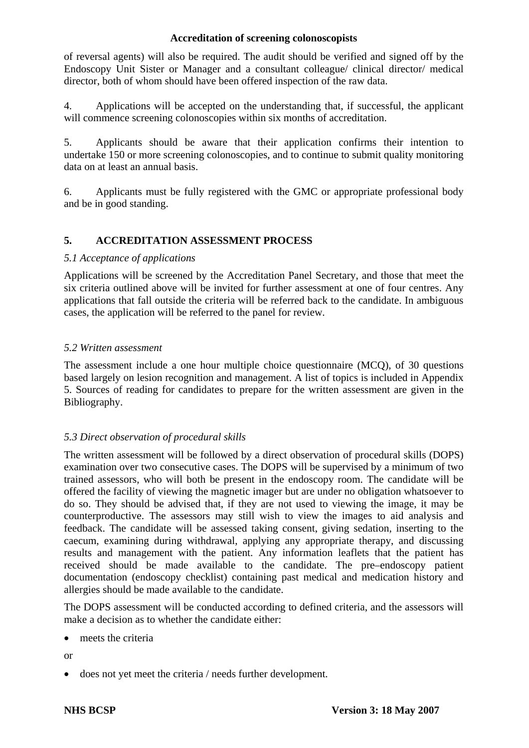of reversal agents) will also be required. The audit should be verified and signed off by the Endoscopy Unit Sister or Manager and a consultant colleague/ clinical director/ medical director, both of whom should have been offered inspection of the raw data.

4. Applications will be accepted on the understanding that, if successful, the applicant will commence screening colonoscopies within six months of accreditation.

5. Applicants should be aware that their application confirms their intention to undertake 150 or more screening colonoscopies, and to continue to submit quality monitoring data on at least an annual basis.

6. Applicants must be fully registered with the GMC or appropriate professional body and be in good standing.

## **5. ACCREDITATION ASSESSMENT PROCESS**

## *5.1 Acceptance of applications*

Applications will be screened by the Accreditation Panel Secretary, and those that meet the six criteria outlined above will be invited for further assessment at one of four centres. Any applications that fall outside the criteria will be referred back to the candidate. In ambiguous cases, the application will be referred to the panel for review.

## *5.2 Written assessment*

The assessment include a one hour multiple choice questionnaire (MCQ), of 30 questions based largely on lesion recognition and management. A list of topics is included in Appendix 5. Sources of reading for candidates to prepare for the written assessment are given in the Bibliography.

## *5.3 Direct observation of procedural skills*

The written assessment will be followed by a direct observation of procedural skills (DOPS) examination over two consecutive cases. The DOPS will be supervised by a minimum of two trained assessors, who will both be present in the endoscopy room. The candidate will be offered the facility of viewing the magnetic imager but are under no obligation whatsoever to do so. They should be advised that, if they are not used to viewing the image, it may be counterproductive. The assessors may still wish to view the images to aid analysis and feedback. The candidate will be assessed taking consent, giving sedation, inserting to the caecum, examining during withdrawal, applying any appropriate therapy, and discussing results and management with the patient. Any information leaflets that the patient has received should be made available to the candidate. The pre–endoscopy patient documentation (endoscopy checklist) containing past medical and medication history and allergies should be made available to the candidate.

The DOPS assessment will be conducted according to defined criteria, and the assessors will make a decision as to whether the candidate either:

• meets the criteria

or

• does not yet meet the criteria / needs further development.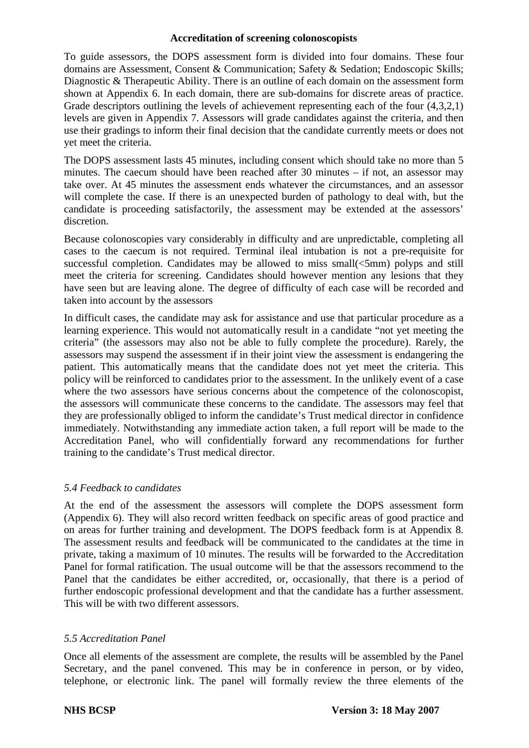To guide assessors, the DOPS assessment form is divided into four domains. These four domains are Assessment, Consent & Communication; Safety & Sedation; Endoscopic Skills; Diagnostic & Therapeutic Ability. There is an outline of each domain on the assessment form shown at Appendix 6. In each domain, there are sub-domains for discrete areas of practice. Grade descriptors outlining the levels of achievement representing each of the four  $(4,3,2,1)$ levels are given in Appendix 7. Assessors will grade candidates against the criteria, and then use their gradings to inform their final decision that the candidate currently meets or does not yet meet the criteria.

The DOPS assessment lasts 45 minutes, including consent which should take no more than 5 minutes. The caecum should have been reached after 30 minutes – if not, an assessor may take over. At 45 minutes the assessment ends whatever the circumstances, and an assessor will complete the case. If there is an unexpected burden of pathology to deal with, but the candidate is proceeding satisfactorily, the assessment may be extended at the assessors' discretion.

Because colonoscopies vary considerably in difficulty and are unpredictable, completing all cases to the caecum is not required. Terminal ileal intubation is not a pre-requisite for successful completion. Candidates may be allowed to miss small( $\leq 5$ mm) polyps and still meet the criteria for screening. Candidates should however mention any lesions that they have seen but are leaving alone. The degree of difficulty of each case will be recorded and taken into account by the assessors

In difficult cases, the candidate may ask for assistance and use that particular procedure as a learning experience. This would not automatically result in a candidate "not yet meeting the criteria" (the assessors may also not be able to fully complete the procedure). Rarely, the assessors may suspend the assessment if in their joint view the assessment is endangering the patient. This automatically means that the candidate does not yet meet the criteria. This policy will be reinforced to candidates prior to the assessment. In the unlikely event of a case where the two assessors have serious concerns about the competence of the colonoscopist, the assessors will communicate these concerns to the candidate. The assessors may feel that they are professionally obliged to inform the candidate's Trust medical director in confidence immediately. Notwithstanding any immediate action taken, a full report will be made to the Accreditation Panel, who will confidentially forward any recommendations for further training to the candidate's Trust medical director.

### *5.4 Feedback to candidates*

At the end of the assessment the assessors will complete the DOPS assessment form (Appendix 6). They will also record written feedback on specific areas of good practice and on areas for further training and development. The DOPS feedback form is at Appendix 8. The assessment results and feedback will be communicated to the candidates at the time in private, taking a maximum of 10 minutes. The results will be forwarded to the Accreditation Panel for formal ratification. The usual outcome will be that the assessors recommend to the Panel that the candidates be either accredited, or, occasionally, that there is a period of further endoscopic professional development and that the candidate has a further assessment. This will be with two different assessors.

## *5.5 Accreditation Panel*

Once all elements of the assessment are complete, the results will be assembled by the Panel Secretary, and the panel convened. This may be in conference in person, or by video, telephone, or electronic link. The panel will formally review the three elements of the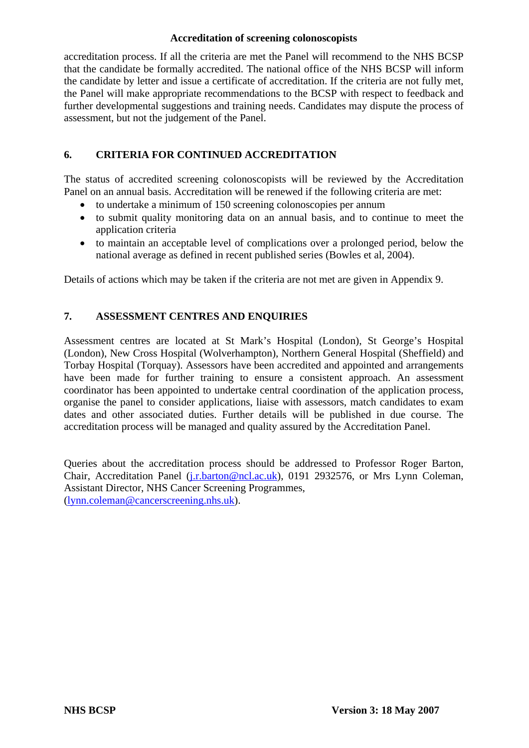accreditation process. If all the criteria are met the Panel will recommend to the NHS BCSP that the candidate be formally accredited. The national office of the NHS BCSP will inform the candidate by letter and issue a certificate of accreditation. If the criteria are not fully met, the Panel will make appropriate recommendations to the BCSP with respect to feedback and further developmental suggestions and training needs. Candidates may dispute the process of assessment, but not the judgement of the Panel.

## **6. CRITERIA FOR CONTINUED ACCREDITATION**

The status of accredited screening colonoscopists will be reviewed by the Accreditation Panel on an annual basis. Accreditation will be renewed if the following criteria are met:

- to undertake a minimum of 150 screening colonoscopies per annum
- to submit quality monitoring data on an annual basis, and to continue to meet the application criteria
- to maintain an acceptable level of complications over a prolonged period, below the national average as defined in recent published series (Bowles et al, 2004).

Details of actions which may be taken if the criteria are not met are given in Appendix 9.

## **7. ASSESSMENT CENTRES AND ENQUIRIES**

Assessment centres are located at St Mark's Hospital (London), St George's Hospital (London), New Cross Hospital (Wolverhampton), Northern General Hospital (Sheffield) and Torbay Hospital (Torquay). Assessors have been accredited and appointed and arrangements have been made for further training to ensure a consistent approach. An assessment coordinator has been appointed to undertake central coordination of the application process, organise the panel to consider applications, liaise with assessors, match candidates to exam dates and other associated duties. Further details will be published in due course. The accreditation process will be managed and quality assured by the Accreditation Panel.

Queries about the accreditation process should be addressed to Professor Roger Barton, Chair, Accreditation Panel (*[j.r.barton@ncl.ac.uk](mailto:j.r.barton@ncl.ac.uk)*), 0191 2932576, or Mrs Lynn Coleman, Assistant Director, NHS Cancer Screening Programmes, ([lynn.coleman@cancerscreening.nhs.uk\)](mailto:lynn.coleman@cancerscreening.nhs.uk).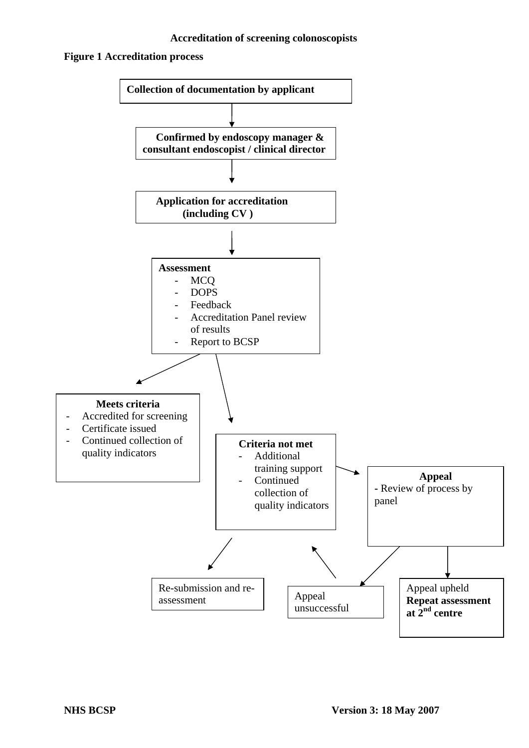## **Figure 1 Accreditation process**

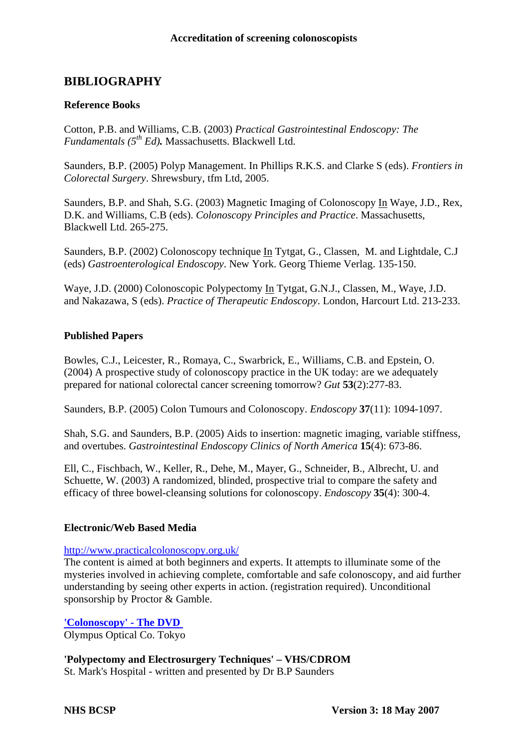# **BIBLIOGRAPHY**

## **Reference Books**

Cotton, P.B. and Williams, C.B. (2003) *Practical Gastrointestinal Endoscopy: The Fundamentals (5th Ed).* Massachusetts. Blackwell Ltd.

Saunders, B.P. (2005) Polyp Management. In Phillips R.K.S. and Clarke S (eds). *Frontiers in Colorectal Surgery*. Shrewsbury, tfm Ltd, 2005.

Saunders, B.P. and Shah, S.G. (2003) Magnetic Imaging of Colonoscopy In Waye, J.D., Rex, D.K. and Williams, C.B (eds). *Colonoscopy Principles and Practice*. Massachusetts, Blackwell Ltd. 265-275.

Saunders, B.P. (2002) Colonoscopy technique In Tytgat, G., Classen, M. and Lightdale, C.J (eds) *Gastroenterological Endoscopy*. New York. Georg Thieme Verlag. 135-150.

Waye, J.D. (2000) Colonoscopic Polypectomy In Tytgat, G.N.J., Classen, M., Waye, J.D. and Nakazawa, S (eds). *Practice of Therapeutic Endoscopy*. London, Harcourt Ltd. 213-233.

### **Published Papers**

Bowles, C.J., Leicester, R., Romaya, C., Swarbrick, E., Williams, C.B. and Epstein, O. (2004) A prospective study of colonoscopy practice in the UK today: are we adequately prepared for national colorectal cancer screening tomorrow? *Gut* **53**(2):277-83.

Saunders, B.P. (2005) Colon Tumours and Colonoscopy. *Endoscopy* **37**(11): 1094-1097.

Shah, S.G. and Saunders, B.P. (2005) Aids to insertion: magnetic imaging, variable stiffness, and overtubes. *Gastrointestinal Endoscopy Clinics of North America* **15**(4): 673-86.

Ell, C., Fischbach, W., Keller, R., Dehe, M., Mayer, G., Schneider, B., Albrecht, U. and Schuette, W. (2003) A randomized, blinded, prospective trial to compare the safety and efficacy of three bowel-cleansing solutions for colonoscopy. *Endoscopy* **35**(4): 300-4.

### **Electronic/Web Based Media**

### <http://www.practicalcolonoscopy.org.uk/>

The content is aimed at both beginners and experts. It attempts to illuminate some of the mysteries involved in achieving complete, comfortable and safe colonoscopy, and aid further understanding by seeing other experts in action. (registration required). Unconditional sponsorship by Proctor & Gamble.

**['Colonoscopy' - The DVD](http://www.wolfsonendoscopy.org.uk/wolfson-unit-for-endoscopy-new-media.html##)**  Olympus Optical Co. Tokyo

**'Polypectomy and Electrosurgery Techniques' – VHS/CDROM**

St. Mark's Hospital - written and presented by Dr B.P Saunders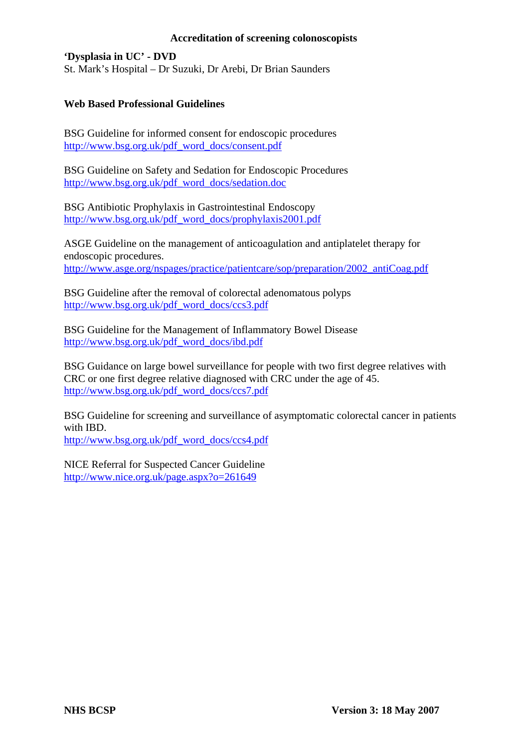**'Dysplasia in UC' - DVD**  St. Mark's Hospital – Dr Suzuki, Dr Arebi, Dr Brian Saunders

## **Web Based Professional Guidelines**

BSG Guideline for informed consent for endoscopic procedures [http://www.bsg.org.uk/pdf\\_word\\_docs/consent.pdf](http://www.bsg.org.uk/pdf_word_docs/consent.pdf)

BSG Guideline on Safety and Sedation for Endoscopic Procedures [http://www.bsg.org.uk/pdf\\_word\\_docs/sedation.doc](http://www.bsg.org.uk/pdf_word_docs/sedation.doc)

BSG Antibiotic Prophylaxis in Gastrointestinal Endoscopy [http://www.bsg.org.uk/pdf\\_word\\_docs/prophylaxis2001.pdf](http://www.bsg.org.uk/pdf_word_docs/prophylaxis2001.pdf)

ASGE Guideline on the management of anticoagulation and antiplatelet therapy for endoscopic procedures. [http://www.asge.org/nspages/practice/patientcare/sop/preparation/2002\\_antiCoag.pdf](http://www.asge.org/nspages/practice/patientcare/sop/preparation/2002_antiCoag.pdf)

BSG Guideline after the removal of colorectal adenomatous polyps [http://www.bsg.org.uk/pdf\\_word\\_docs/ccs3.pdf](http://www.bsg.org.uk/pdf_word_docs/ccs3.pdf)

BSG Guideline for the Management of Inflammatory Bowel Disease [http://www.bsg.org.uk/pdf\\_word\\_docs/ibd.pdf](http://www.bsg.org.uk/pdf_word_docs/ibd.pdf)

BSG Guidance on large bowel surveillance for people with two first degree relatives with CRC or one first degree relative diagnosed with CRC under the age of 45. [http://www.bsg.org.uk/pdf\\_word\\_docs/ccs7.pdf](http://www.bsg.org.uk/pdf_word_docs/ccs7.pdf)

BSG Guideline for screening and surveillance of asymptomatic colorectal cancer in patients with IBD.

[http://www.bsg.org.uk/pdf\\_word\\_docs/ccs4.pdf](http://www.bsg.org.uk/pdf_word_docs/ccs4.pdf)

NICE Referral for Suspected Cancer Guideline <http://www.nice.org.uk/page.aspx?o=261649>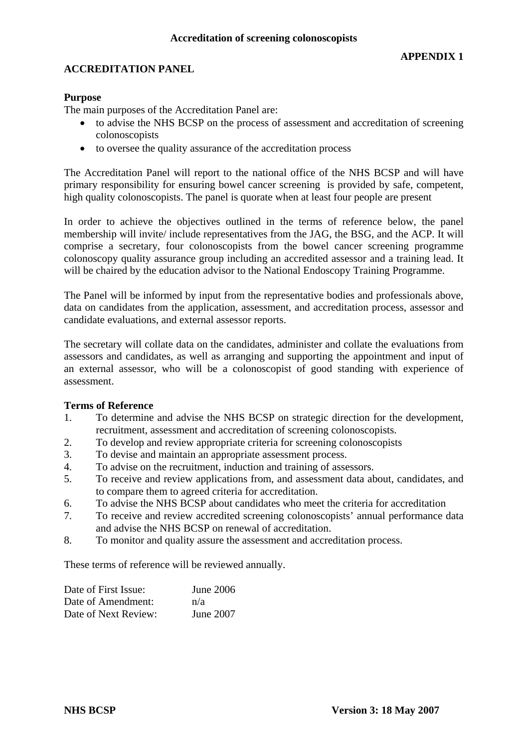## **ACCREDITATION PANEL**

## **Purpose**

The main purposes of the Accreditation Panel are:

- to advise the NHS BCSP on the process of assessment and accreditation of screening colonoscopists
- to oversee the quality assurance of the accreditation process

The Accreditation Panel will report to the national office of the NHS BCSP and will have primary responsibility for ensuring bowel cancer screening is provided by safe, competent, high quality colonoscopists. The panel is quorate when at least four people are present

In order to achieve the objectives outlined in the terms of reference below, the panel membership will invite/ include representatives from the JAG, the BSG, and the ACP. It will comprise a secretary, four colonoscopists from the bowel cancer screening programme colonoscopy quality assurance group including an accredited assessor and a training lead. It will be chaired by the education advisor to the National Endoscopy Training Programme.

The Panel will be informed by input from the representative bodies and professionals above, data on candidates from the application, assessment, and accreditation process, assessor and candidate evaluations, and external assessor reports.

The secretary will collate data on the candidates, administer and collate the evaluations from assessors and candidates, as well as arranging and supporting the appointment and input of an external assessor, who will be a colonoscopist of good standing with experience of assessment.

### **Terms of Reference**

- 1. To determine and advise the NHS BCSP on strategic direction for the development, recruitment, assessment and accreditation of screening colonoscopists.
- 2. To develop and review appropriate criteria for screening colonoscopists
- 3. To devise and maintain an appropriate assessment process.
- 4. To advise on the recruitment, induction and training of assessors.
- 5. To receive and review applications from, and assessment data about, candidates, and to compare them to agreed criteria for accreditation.
- 6. To advise the NHS BCSP about candidates who meet the criteria for accreditation
- 7. To receive and review accredited screening colonoscopists' annual performance data and advise the NHS BCSP on renewal of accreditation.
- 8. To monitor and quality assure the assessment and accreditation process.

These terms of reference will be reviewed annually.

| Date of First Issue: | June 2006 |
|----------------------|-----------|
| Date of Amendment:   | n/a       |
| Date of Next Review: | June 2007 |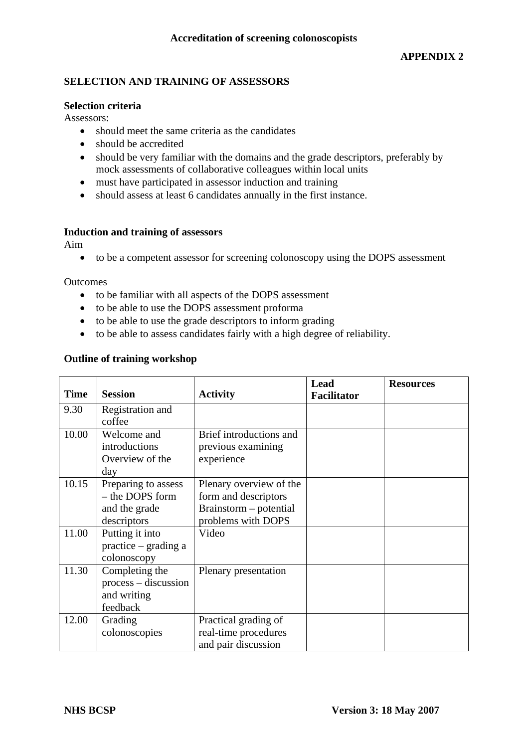## **SELECTION AND TRAINING OF ASSESSORS**

#### **Selection criteria**

Assessors:

- should meet the same criteria as the candidates
- should be accredited
- should be very familiar with the domains and the grade descriptors, preferably by mock assessments of collaborative colleagues within local units
- must have participated in assessor induction and training
- should assess at least 6 candidates annually in the first instance.

### **Induction and training of assessors**

Aim

• to be a competent assessor for screening colonoscopy using the DOPS assessment

**Outcomes** 

- to be familiar with all aspects of the DOPS assessment
- to be able to use the DOPS assessment proforma
- to be able to use the grade descriptors to inform grading
- to be able to assess candidates fairly with a high degree of reliability.

### **Outline of training workshop**

|             | <b>Session</b>         |                         | <b>Lead</b>        | <b>Resources</b> |
|-------------|------------------------|-------------------------|--------------------|------------------|
| <b>Time</b> |                        | <b>Activity</b>         | <b>Facilitator</b> |                  |
| 9.30        | Registration and       |                         |                    |                  |
|             | coffee                 |                         |                    |                  |
| 10.00       | Welcome and            | Brief introductions and |                    |                  |
|             | introductions          | previous examining      |                    |                  |
|             | Overview of the        | experience              |                    |                  |
|             | day                    |                         |                    |                  |
| 10.15       | Preparing to assess    | Plenary overview of the |                    |                  |
|             | - the DOPS form        | form and descriptors    |                    |                  |
|             | and the grade          | Brainstorm – potential  |                    |                  |
|             | descriptors            | problems with DOPS      |                    |                  |
| 11.00       | Putting it into        | Video                   |                    |                  |
|             | $practive - grading a$ |                         |                    |                  |
|             | colonoscopy            |                         |                    |                  |
| 11.30       | Completing the         | Plenary presentation    |                    |                  |
|             | process – discussion   |                         |                    |                  |
|             | and writing            |                         |                    |                  |
|             | feedback               |                         |                    |                  |
| 12.00       | Grading                | Practical grading of    |                    |                  |
|             | colonoscopies          | real-time procedures    |                    |                  |
|             |                        | and pair discussion     |                    |                  |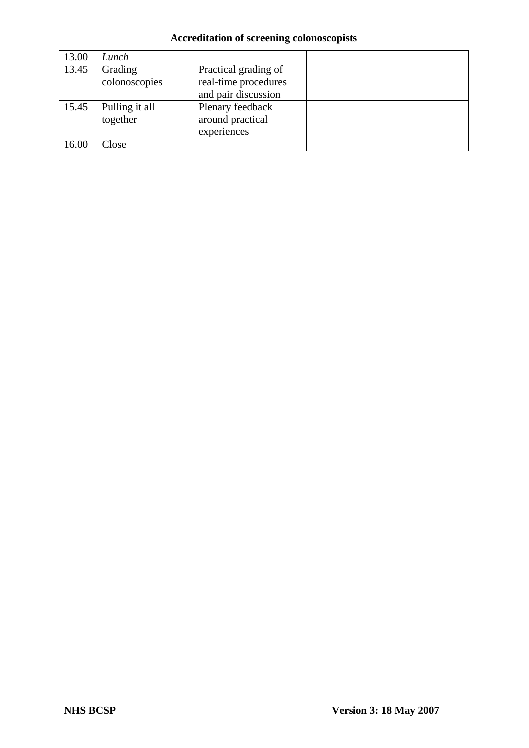| 13.00 | Lunch          |                      |  |
|-------|----------------|----------------------|--|
| 13.45 | Grading        | Practical grading of |  |
|       | colonoscopies  | real-time procedures |  |
|       |                | and pair discussion  |  |
| 15.45 | Pulling it all | Plenary feedback     |  |
|       | together       | around practical     |  |
|       |                | experiences          |  |
| 16.00 | Close          |                      |  |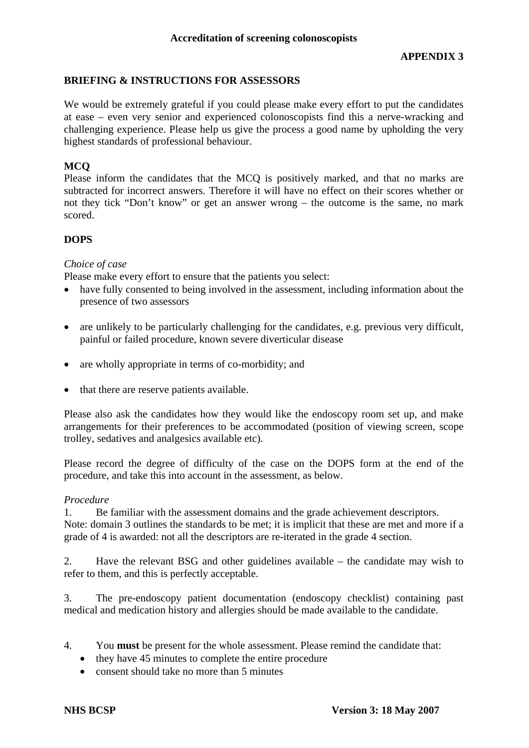## **BRIEFING & INSTRUCTIONS FOR ASSESSORS**

We would be extremely grateful if you could please make every effort to put the candidates at ease – even very senior and experienced colonoscopists find this a nerve-wracking and challenging experience. Please help us give the process a good name by upholding the very highest standards of professional behaviour.

## **MCQ**

Please inform the candidates that the MCQ is positively marked, and that no marks are subtracted for incorrect answers. Therefore it will have no effect on their scores whether or not they tick "Don't know" or get an answer wrong – the outcome is the same, no mark scored.

## **DOPS**

## *Choice of case*

Please make every effort to ensure that the patients you select:

- have fully consented to being involved in the assessment, including information about the presence of two assessors
- are unlikely to be particularly challenging for the candidates, e.g. previous very difficult, painful or failed procedure, known severe diverticular disease
- are wholly appropriate in terms of co-morbidity; and
- that there are reserve patients available.

Please also ask the candidates how they would like the endoscopy room set up, and make arrangements for their preferences to be accommodated (position of viewing screen, scope trolley, sedatives and analgesics available etc).

Please record the degree of difficulty of the case on the DOPS form at the end of the procedure, and take this into account in the assessment, as below.

### *Procedure*

1. Be familiar with the assessment domains and the grade achievement descriptors. Note: domain 3 outlines the standards to be met; it is implicit that these are met and more if a grade of 4 is awarded: not all the descriptors are re-iterated in the grade 4 section.

2. Have the relevant BSG and other guidelines available – the candidate may wish to refer to them, and this is perfectly acceptable.

3. The pre-endoscopy patient documentation (endoscopy checklist) containing past medical and medication history and allergies should be made available to the candidate.

- 4. You **must** be present for the whole assessment. Please remind the candidate that:
	- they have 45 minutes to complete the entire procedure
	- consent should take no more than 5 minutes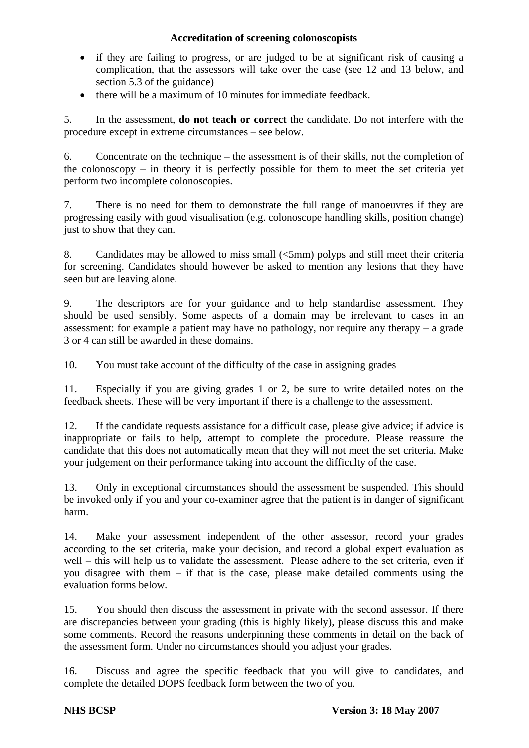- if they are failing to progress, or are judged to be at significant risk of causing a complication, that the assessors will take over the case (see 12 and 13 below, and section 5.3 of the guidance)
- there will be a maximum of 10 minutes for immediate feedback.

5. In the assessment, **do not teach or correct** the candidate. Do not interfere with the procedure except in extreme circumstances – see below.

6. Concentrate on the technique – the assessment is of their skills, not the completion of the colonoscopy – in theory it is perfectly possible for them to meet the set criteria yet perform two incomplete colonoscopies.

7. There is no need for them to demonstrate the full range of manoeuvres if they are progressing easily with good visualisation (e.g. colonoscope handling skills, position change) just to show that they can.

8. Candidates may be allowed to miss small (<5mm) polyps and still meet their criteria for screening. Candidates should however be asked to mention any lesions that they have seen but are leaving alone.

9. The descriptors are for your guidance and to help standardise assessment. They should be used sensibly. Some aspects of a domain may be irrelevant to cases in an assessment: for example a patient may have no pathology, nor require any therapy – a grade 3 or 4 can still be awarded in these domains.

10. You must take account of the difficulty of the case in assigning grades

11. Especially if you are giving grades 1 or 2, be sure to write detailed notes on the feedback sheets. These will be very important if there is a challenge to the assessment.

12. If the candidate requests assistance for a difficult case, please give advice; if advice is inappropriate or fails to help, attempt to complete the procedure. Please reassure the candidate that this does not automatically mean that they will not meet the set criteria. Make your judgement on their performance taking into account the difficulty of the case.

13. Only in exceptional circumstances should the assessment be suspended. This should be invoked only if you and your co-examiner agree that the patient is in danger of significant harm.

14. Make your assessment independent of the other assessor, record your grades according to the set criteria, make your decision, and record a global expert evaluation as well – this will help us to validate the assessment. Please adhere to the set criteria, even if you disagree with them – if that is the case, please make detailed comments using the evaluation forms below.

15. You should then discuss the assessment in private with the second assessor. If there are discrepancies between your grading (this is highly likely), please discuss this and make some comments. Record the reasons underpinning these comments in detail on the back of the assessment form. Under no circumstances should you adjust your grades.

16. Discuss and agree the specific feedback that you will give to candidates, and complete the detailed DOPS feedback form between the two of you.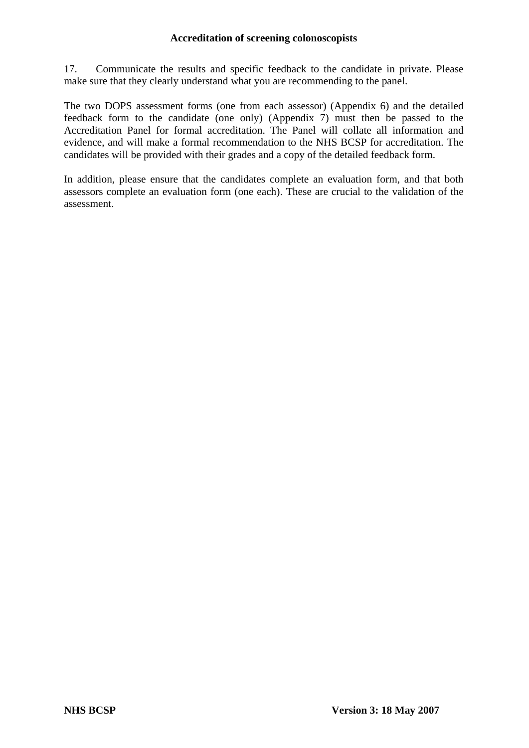17. Communicate the results and specific feedback to the candidate in private. Please make sure that they clearly understand what you are recommending to the panel.

The two DOPS assessment forms (one from each assessor) (Appendix 6) and the detailed feedback form to the candidate (one only) (Appendix 7) must then be passed to the Accreditation Panel for formal accreditation. The Panel will collate all information and evidence, and will make a formal recommendation to the NHS BCSP for accreditation. The candidates will be provided with their grades and a copy of the detailed feedback form.

In addition, please ensure that the candidates complete an evaluation form, and that both assessors complete an evaluation form (one each). These are crucial to the validation of the assessment.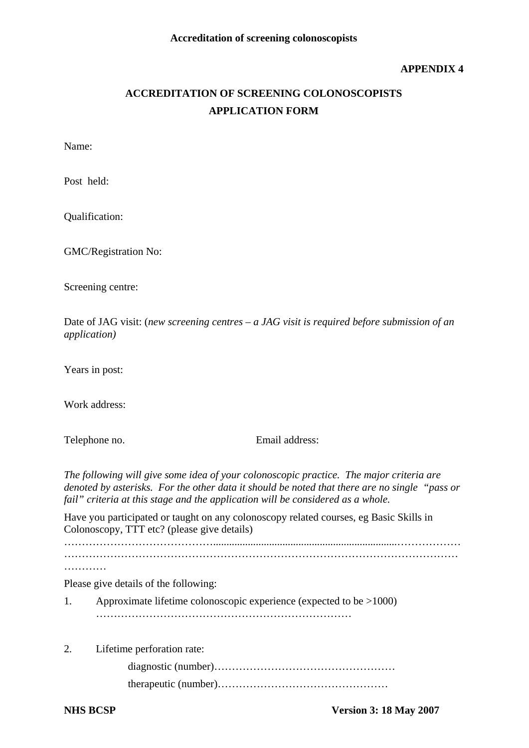### **APPENDIX 4**

# **ACCREDITATION OF SCREENING COLONOSCOPISTS APPLICATION FORM**

Name:

Post held:

Qualification:

GMC/Registration No:

Screening centre:

Date of JAG visit: (*new screening centres – a JAG visit is required before submission of an application)* 

Years in post:

Work address:

Telephone no. Email address:

*The following will give some idea of your colonoscopic practice. The major criteria are denoted by asterisks. For the other data it should be noted that there are no single "pass or fail" criteria at this stage and the application will be considered as a whole.* 

Have you participated or taught on any colonoscopy related courses, eg Basic Skills in Colonoscopy, TTT etc? (please give details)

…………………………………….....................................................................……………… …………………………………………………………………………………………………

…………

Please give details of the following:

- 1. Approximate lifetime colonoscopic experience (expected to be >1000) ………………………………………………………………
- 2. Lifetime perforation rate:

 diagnostic (number)…………………………………………… therapeutic (number)…………………………………………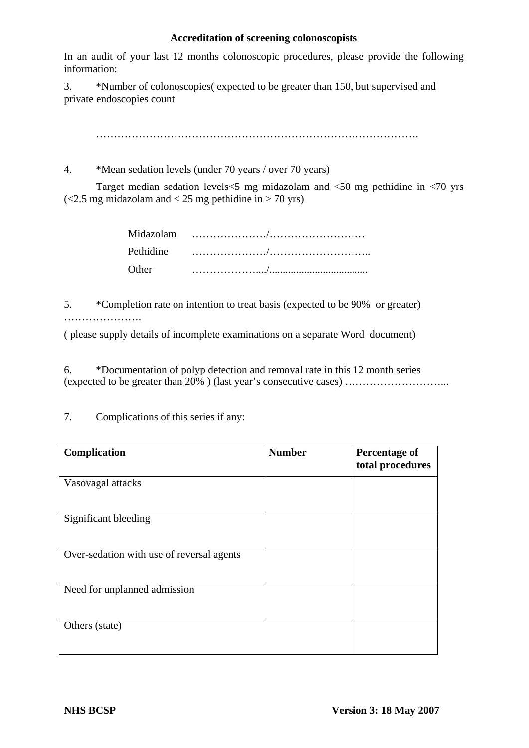In an audit of your last 12 months colonoscopic procedures, please provide the following information:

3. \*Number of colonoscopies( expected to be greater than 150, but supervised and private endoscopies count

 $\mathcal{L}^{(n)}$ 

4. \*Mean sedation levels (under 70 years / over 70 years)

 Target median sedation levels<5 mg midazolam and <50 mg pethidine in <70 yrs  $\left($  <2.5 mg midazolam and < 25 mg pethidine in > 70 yrs)

| <b>Other</b> |  |
|--------------|--|

5. \*Completion rate on intention to treat basis (expected to be 90% or greater) ………………….

( please supply details of incomplete examinations on a separate Word document)

6. \*Documentation of polyp detection and removal rate in this 12 month series (expected to be greater than 20% ) (last year's consecutive cases) ………………………...

| Complication                              | <b>Number</b> | <b>Percentage of</b><br>total procedures |
|-------------------------------------------|---------------|------------------------------------------|
| Vasovagal attacks                         |               |                                          |
| Significant bleeding                      |               |                                          |
| Over-sedation with use of reversal agents |               |                                          |
| Need for unplanned admission              |               |                                          |
| Others (state)                            |               |                                          |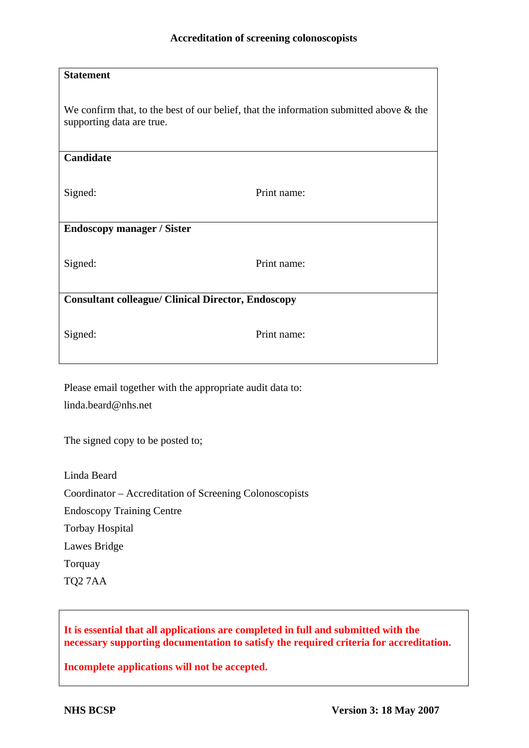| <b>Statement</b>                                                                                                       |             |  |
|------------------------------------------------------------------------------------------------------------------------|-------------|--|
| We confirm that, to the best of our belief, that the information submitted above $\&$ the<br>supporting data are true. |             |  |
| Candidate                                                                                                              |             |  |
| Signed:                                                                                                                | Print name: |  |
| <b>Endoscopy manager / Sister</b>                                                                                      |             |  |
| Signed:                                                                                                                | Print name: |  |
| <b>Consultant colleague/ Clinical Director, Endoscopy</b>                                                              |             |  |
| Signed:                                                                                                                | Print name: |  |

Please email together with the appropriate audit data to: linda.beard@nhs.net

The signed copy to be posted to;

Linda Beard Coordinator – Accreditation of Screening Colonoscopists Endoscopy Training Centre Torbay Hospital Lawes Bridge Torquay

**It is essential that all applications are completed in full and submitted with the necessary supporting documentation to satisfy the required criteria for accreditation.** 

**Incomplete applications will not be accepted.** 

TQ2 7AA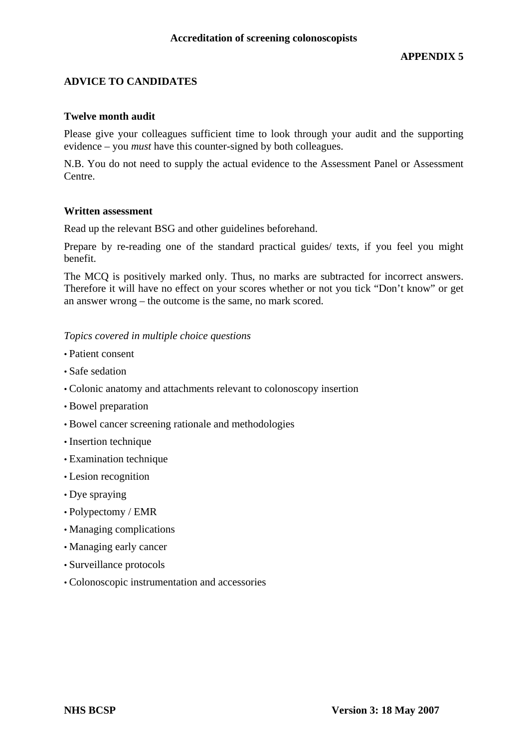## **ADVICE TO CANDIDATES**

#### **Twelve month audit**

Please give your colleagues sufficient time to look through your audit and the supporting evidence – you *must* have this counter-signed by both colleagues.

N.B. You do not need to supply the actual evidence to the Assessment Panel or Assessment Centre.

#### **Written assessment**

Read up the relevant BSG and other guidelines beforehand.

Prepare by re-reading one of the standard practical guides/ texts, if you feel you might benefit.

The MCQ is positively marked only. Thus, no marks are subtracted for incorrect answers. Therefore it will have no effect on your scores whether or not you tick "Don't know" or get an answer wrong – the outcome is the same, no mark scored.

### *Topics covered in multiple choice questions*

- Patient consent
- Safe sedation
- Colonic anatomy and attachments relevant to colonoscopy insertion
- Bowel preparation
- Bowel cancer screening rationale and methodologies
- Insertion technique
- Examination technique
- Lesion recognition
- Dye spraying
- Polypectomy / EMR
- Managing complications
- Managing early cancer
- Surveillance protocols
- Colonoscopic instrumentation and accessories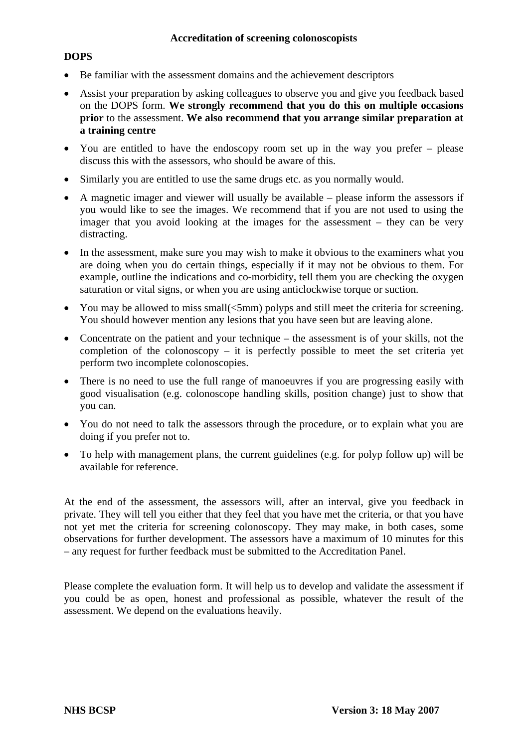## **DOPS**

- Be familiar with the assessment domains and the achievement descriptors
- Assist your preparation by asking colleagues to observe you and give you feedback based on the DOPS form. **We strongly recommend that you do this on multiple occasions prior** to the assessment. **We also recommend that you arrange similar preparation at a training centre**
- You are entitled to have the endoscopy room set up in the way you prefer please discuss this with the assessors, who should be aware of this.
- Similarly you are entitled to use the same drugs etc. as you normally would.
- A magnetic imager and viewer will usually be available please inform the assessors if you would like to see the images. We recommend that if you are not used to using the imager that you avoid looking at the images for the assessment – they can be very distracting.
- In the assessment, make sure you may wish to make it obvious to the examiners what you are doing when you do certain things, especially if it may not be obvious to them. For example, outline the indications and co-morbidity, tell them you are checking the oxygen saturation or vital signs, or when you are using anticlockwise torque or suction.
- You may be allowed to miss small(<5mm) polyps and still meet the criteria for screening. You should however mention any lesions that you have seen but are leaving alone.
- Concentrate on the patient and your technique the assessment is of your skills, not the completion of the colonoscopy – it is perfectly possible to meet the set criteria yet perform two incomplete colonoscopies.
- There is no need to use the full range of manoeuvres if you are progressing easily with good visualisation (e.g. colonoscope handling skills, position change) just to show that you can.
- You do not need to talk the assessors through the procedure, or to explain what you are doing if you prefer not to.
- To help with management plans, the current guidelines (e.g. for polyp follow up) will be available for reference.

At the end of the assessment, the assessors will, after an interval, give you feedback in private. They will tell you either that they feel that you have met the criteria, or that you have not yet met the criteria for screening colonoscopy. They may make, in both cases, some observations for further development. The assessors have a maximum of 10 minutes for this – any request for further feedback must be submitted to the Accreditation Panel.

Please complete the evaluation form. It will help us to develop and validate the assessment if you could be as open, honest and professional as possible, whatever the result of the assessment. We depend on the evaluations heavily.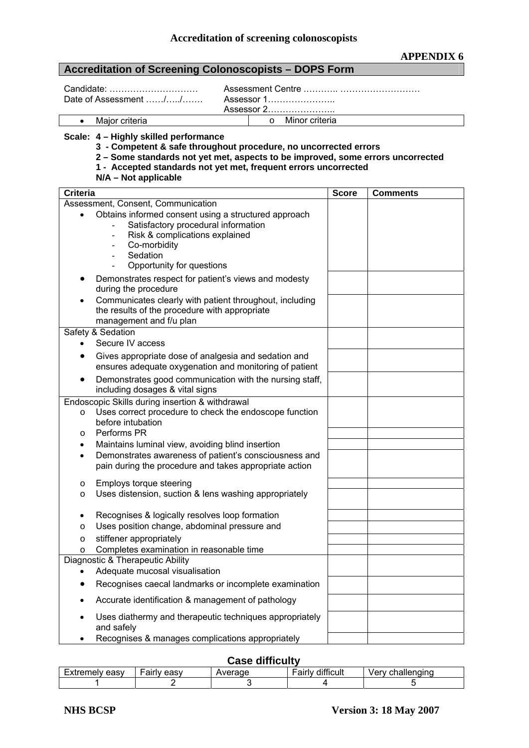#### **Accreditation of Screening Colonoscopists – DOPS Form**

Date of Assessment ……/…../……. Assessor 1…………………..

Candidate: ………………………… Assessment Centre .……….. ……………………… Assessor 2…………………..

• Major criteria **o Minor criteria** 

#### **Scale: 4 – Highly skilled performance**

 **3 - Competent & safe throughout procedure, no uncorrected errors** 

#### **2 – Some standards not yet met, aspects to be improved, some errors uncorrected**

 **1 - Accepted standards not yet met, frequent errors uncorrected** 

**N/A – Not applicable** 

| Criteria                                                                                                                                         | <b>Score</b> | <b>Comments</b> |
|--------------------------------------------------------------------------------------------------------------------------------------------------|--------------|-----------------|
| Assessment, Consent, Communication                                                                                                               |              |                 |
| Obtains informed consent using a structured approach<br>$\bullet$<br>Satisfactory procedural information                                         |              |                 |
| Risk & complications explained<br>$\overline{\phantom{a}}$<br>Co-morbidity<br>$\overline{\phantom{a}}$                                           |              |                 |
| Sedation<br>$\blacksquare$                                                                                                                       |              |                 |
| Opportunity for questions                                                                                                                        |              |                 |
| Demonstrates respect for patient's views and modesty<br>during the procedure                                                                     |              |                 |
| Communicates clearly with patient throughout, including<br>$\bullet$<br>the results of the procedure with appropriate<br>management and f/u plan |              |                 |
| Safety & Sedation                                                                                                                                |              |                 |
| Secure IV access<br>$\bullet$                                                                                                                    |              |                 |
| Gives appropriate dose of analgesia and sedation and<br>$\bullet$<br>ensures adequate oxygenation and monitoring of patient                      |              |                 |
| Demonstrates good communication with the nursing staff,<br>including dosages & vital signs                                                       |              |                 |
| Endoscopic Skills during insertion & withdrawal                                                                                                  |              |                 |
| Uses correct procedure to check the endoscope function<br>$\circ$                                                                                |              |                 |
| before intubation<br>Performs PR                                                                                                                 |              |                 |
| $\circ$<br>Maintains luminal view, avoiding blind insertion<br>$\bullet$                                                                         |              |                 |
| Demonstrates awareness of patient's consciousness and<br>$\bullet$                                                                               |              |                 |
| pain during the procedure and takes appropriate action                                                                                           |              |                 |
| Employs torque steering<br>$\circ$                                                                                                               |              |                 |
| Uses distension, suction & lens washing appropriately<br>$\circ$                                                                                 |              |                 |
| Recognises & logically resolves loop formation<br>$\bullet$                                                                                      |              |                 |
| Uses position change, abdominal pressure and<br>$\circ$                                                                                          |              |                 |
| stiffener appropriately<br>$\circ$                                                                                                               |              |                 |
| Completes examination in reasonable time<br>$\circ$<br>Diagnostic & Therapeutic Ability                                                          |              |                 |
| Adequate mucosal visualisation                                                                                                                   |              |                 |
| Recognises caecal landmarks or incomplete examination                                                                                            |              |                 |
| Accurate identification & management of pathology                                                                                                |              |                 |
| Uses diathermy and therapeutic techniques appropriately<br>and safely                                                                            |              |                 |
| Recognises & manages complications appropriately                                                                                                 |              |                 |

#### **Case difficulty**

|                     |                  | _______<br>___ |                    |                        |
|---------------------|------------------|----------------|--------------------|------------------------|
| easv<br>-----<br>ਾ⊨ | AASV<br>.<br>aı. |                | <br>tıcı ili<br>aı | 2 2 2<br>וו ⊶וו<br>иe. |
|                     |                  |                |                    |                        |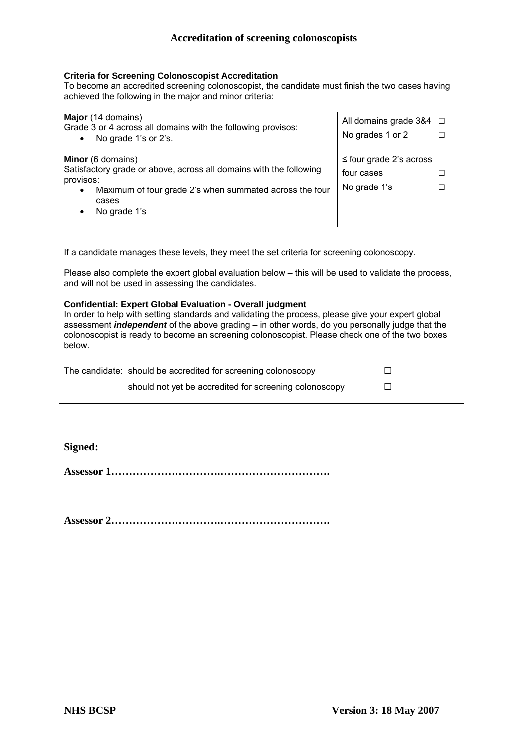#### **Criteria for Screening Colonoscopist Accreditation**

To become an accredited screening colonoscopist, the candidate must finish the two cases having achieved the following in the major and minor criteria:

| Major (14 domains)<br>Grade 3 or 4 across all domains with the following provisos:<br>No grade 1's or 2's.<br>$\bullet$ | All domains grade $384$ $\Box$<br>No grades 1 or 2 |  |
|-------------------------------------------------------------------------------------------------------------------------|----------------------------------------------------|--|
| Minor (6 domains)                                                                                                       | $\leq$ four grade 2's across                       |  |
| Satisfactory grade or above, across all domains with the following<br>provisos:                                         | four cases                                         |  |
| Maximum of four grade 2's when summated across the four<br>٠<br>cases<br>No grade 1's<br>٠                              | No grade 1's                                       |  |

If a candidate manages these levels, they meet the set criteria for screening colonoscopy.

Please also complete the expert global evaluation below – this will be used to validate the process, and will not be used in assessing the candidates.

| <b>Confidential: Expert Global Evaluation - Overall judgment</b><br>In order to help with setting standards and validating the process, please give your expert global<br>assessment <i>independent</i> of the above grading – in other words, do you personally judge that the<br>colonoscopist is ready to become an screening colonoscopist. Please check one of the two boxes<br>below. |  |  |
|---------------------------------------------------------------------------------------------------------------------------------------------------------------------------------------------------------------------------------------------------------------------------------------------------------------------------------------------------------------------------------------------|--|--|
| The candidate: should be accredited for screening colonoscopy<br>should not yet be accredited for screening colonoscopy                                                                                                                                                                                                                                                                     |  |  |
|                                                                                                                                                                                                                                                                                                                                                                                             |  |  |

**Signed:** 

**Assessor 1………………………….………………………….** 

**Assessor 2………………………….………………………….**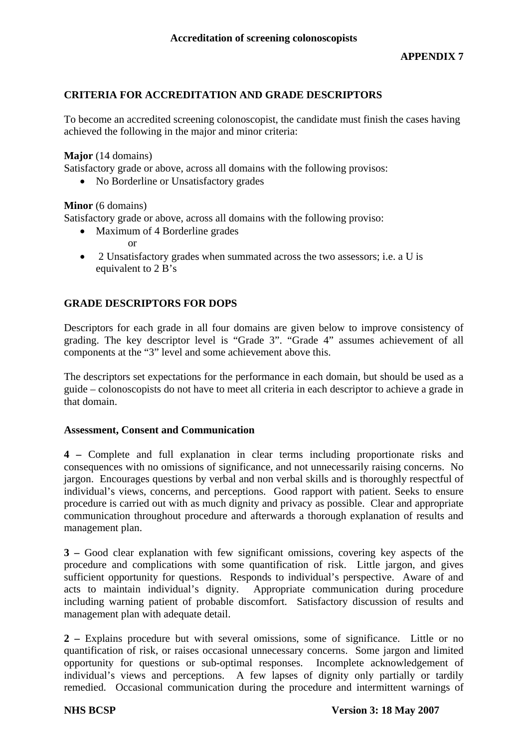## **CRITERIA FOR ACCREDITATION AND GRADE DESCRIPTORS**

To become an accredited screening colonoscopist, the candidate must finish the cases having achieved the following in the major and minor criteria:

**Major** (14 domains)

Satisfactory grade or above, across all domains with the following provisos:

• No Borderline or Unsatisfactory grades

## **Minor** (6 domains)

Satisfactory grade or above, across all domains with the following proviso:

• Maximum of 4 Borderline grades

or

• 2 Unsatisfactory grades when summated across the two assessors; i.e. a U is equivalent to 2 B's

## **GRADE DESCRIPTORS FOR DOPS**

Descriptors for each grade in all four domains are given below to improve consistency of grading. The key descriptor level is "Grade 3". "Grade 4" assumes achievement of all components at the "3" level and some achievement above this.

The descriptors set expectations for the performance in each domain, but should be used as a guide – colonoscopists do not have to meet all criteria in each descriptor to achieve a grade in that domain.

### **Assessment, Consent and Communication**

**4 –** Complete and full explanation in clear terms including proportionate risks and consequences with no omissions of significance, and not unnecessarily raising concerns. No jargon. Encourages questions by verbal and non verbal skills and is thoroughly respectful of individual's views, concerns, and perceptions. Good rapport with patient. Seeks to ensure procedure is carried out with as much dignity and privacy as possible. Clear and appropriate communication throughout procedure and afterwards a thorough explanation of results and management plan.

**3 –** Good clear explanation with few significant omissions, covering key aspects of the procedure and complications with some quantification of risk. Little jargon, and gives sufficient opportunity for questions. Responds to individual's perspective. Aware of and acts to maintain individual's dignity. Appropriate communication during procedure including warning patient of probable discomfort. Satisfactory discussion of results and management plan with adequate detail.

**2 –** Explains procedure but with several omissions, some of significance. Little or no quantification of risk, or raises occasional unnecessary concerns. Some jargon and limited opportunity for questions or sub-optimal responses. Incomplete acknowledgement of individual's views and perceptions. A few lapses of dignity only partially or tardily remedied. Occasional communication during the procedure and intermittent warnings of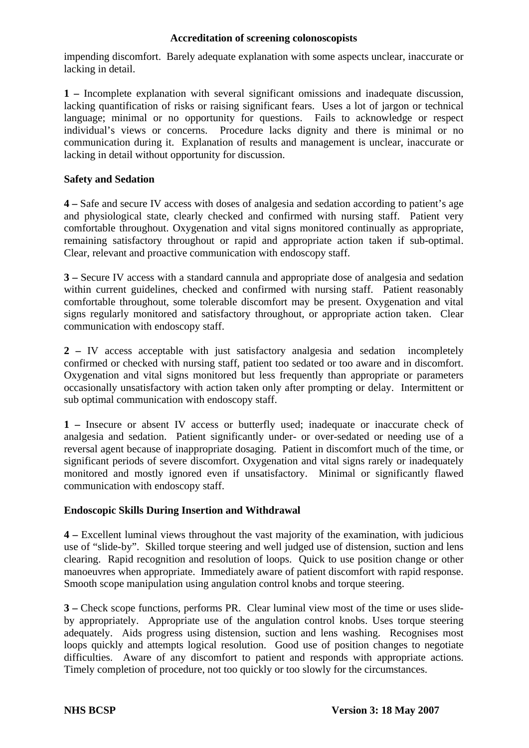impending discomfort. Barely adequate explanation with some aspects unclear, inaccurate or lacking in detail.

**1 –** Incomplete explanation with several significant omissions and inadequate discussion, lacking quantification of risks or raising significant fears. Uses a lot of jargon or technical language; minimal or no opportunity for questions. Fails to acknowledge or respect individual's views or concerns. Procedure lacks dignity and there is minimal or no communication during it. Explanation of results and management is unclear, inaccurate or lacking in detail without opportunity for discussion.

## **Safety and Sedation**

**4 –** Safe and secure IV access with doses of analgesia and sedation according to patient's age and physiological state, clearly checked and confirmed with nursing staff. Patient very comfortable throughout. Oxygenation and vital signs monitored continually as appropriate, remaining satisfactory throughout or rapid and appropriate action taken if sub-optimal. Clear, relevant and proactive communication with endoscopy staff.

**3 –** Secure IV access with a standard cannula and appropriate dose of analgesia and sedation within current guidelines, checked and confirmed with nursing staff. Patient reasonably comfortable throughout, some tolerable discomfort may be present. Oxygenation and vital signs regularly monitored and satisfactory throughout, or appropriate action taken. Clear communication with endoscopy staff.

**2 –** IV access acceptable with just satisfactory analgesia and sedation incompletely confirmed or checked with nursing staff, patient too sedated or too aware and in discomfort. Oxygenation and vital signs monitored but less frequently than appropriate or parameters occasionally unsatisfactory with action taken only after prompting or delay. Intermittent or sub optimal communication with endoscopy staff.

**1 –** Insecure or absent IV access or butterfly used; inadequate or inaccurate check of analgesia and sedation. Patient significantly under- or over-sedated or needing use of a reversal agent because of inappropriate dosaging. Patient in discomfort much of the time, or significant periods of severe discomfort. Oxygenation and vital signs rarely or inadequately monitored and mostly ignored even if unsatisfactory. Minimal or significantly flawed communication with endoscopy staff.

## **Endoscopic Skills During Insertion and Withdrawal**

**4 –** Excellent luminal views throughout the vast majority of the examination, with judicious use of "slide-by". Skilled torque steering and well judged use of distension, suction and lens clearing. Rapid recognition and resolution of loops. Quick to use position change or other manoeuvres when appropriate. Immediately aware of patient discomfort with rapid response. Smooth scope manipulation using angulation control knobs and torque steering.

**3 –** Check scope functions, performs PR. Clear luminal view most of the time or uses slideby appropriately. Appropriate use of the angulation control knobs. Uses torque steering adequately. Aids progress using distension, suction and lens washing. Recognises most loops quickly and attempts logical resolution. Good use of position changes to negotiate difficulties. Aware of any discomfort to patient and responds with appropriate actions. Timely completion of procedure, not too quickly or too slowly for the circumstances.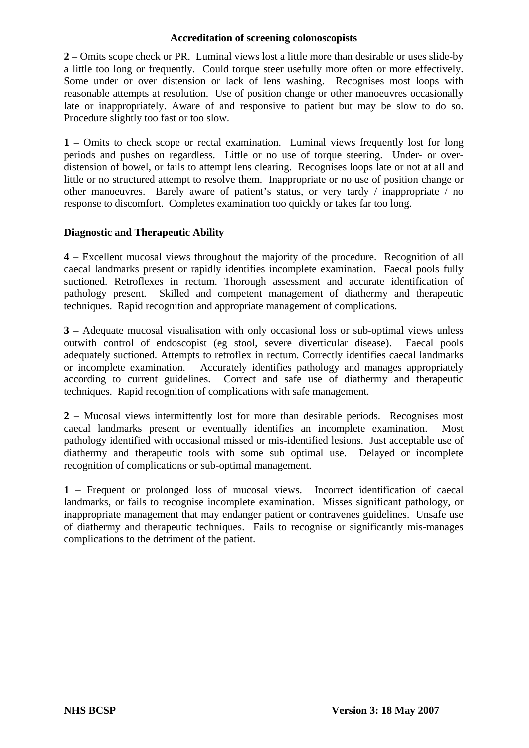**2 –** Omits scope check or PR. Luminal views lost a little more than desirable or uses slide-by a little too long or frequently. Could torque steer usefully more often or more effectively. Some under or over distension or lack of lens washing. Recognises most loops with reasonable attempts at resolution. Use of position change or other manoeuvres occasionally late or inappropriately. Aware of and responsive to patient but may be slow to do so. Procedure slightly too fast or too slow.

**1 –** Omits to check scope or rectal examination. Luminal views frequently lost for long periods and pushes on regardless. Little or no use of torque steering. Under- or overdistension of bowel, or fails to attempt lens clearing. Recognises loops late or not at all and little or no structured attempt to resolve them. Inappropriate or no use of position change or other manoeuvres. Barely aware of patient's status, or very tardy / inappropriate / no response to discomfort. Completes examination too quickly or takes far too long.

### **Diagnostic and Therapeutic Ability**

**4 –** Excellent mucosal views throughout the majority of the procedure. Recognition of all caecal landmarks present or rapidly identifies incomplete examination. Faecal pools fully suctioned. Retroflexes in rectum. Thorough assessment and accurate identification of pathology present. Skilled and competent management of diathermy and therapeutic techniques. Rapid recognition and appropriate management of complications.

**3 –** Adequate mucosal visualisation with only occasional loss or sub-optimal views unless outwith control of endoscopist (eg stool, severe diverticular disease). Faecal pools adequately suctioned. Attempts to retroflex in rectum. Correctly identifies caecal landmarks or incomplete examination. Accurately identifies pathology and manages appropriately according to current guidelines. Correct and safe use of diathermy and therapeutic techniques. Rapid recognition of complications with safe management.

**2 –** Mucosal views intermittently lost for more than desirable periods. Recognises most caecal landmarks present or eventually identifies an incomplete examination. Most pathology identified with occasional missed or mis-identified lesions. Just acceptable use of diathermy and therapeutic tools with some sub optimal use. Delayed or incomplete recognition of complications or sub-optimal management.

**1 –** Frequent or prolonged loss of mucosal views. Incorrect identification of caecal landmarks, or fails to recognise incomplete examination. Misses significant pathology, or inappropriate management that may endanger patient or contravenes guidelines. Unsafe use of diathermy and therapeutic techniques. Fails to recognise or significantly mis-manages complications to the detriment of the patient.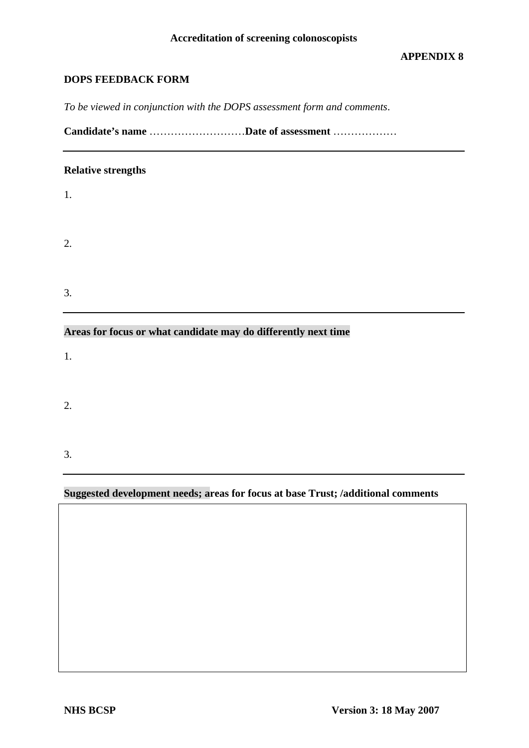## **DOPS FEEDBACK FORM**

*To be viewed in conjunction with the DOPS assessment form and comments*.

**Candidate's name** ………………………**Date of assessment** ………………

### **Relative strengths**

1.

2.

3.

# **Areas for focus or what candidate may do differently next time**

1.

2.

3.

## **Suggested development needs; areas for focus at base Trust; /additional comments**